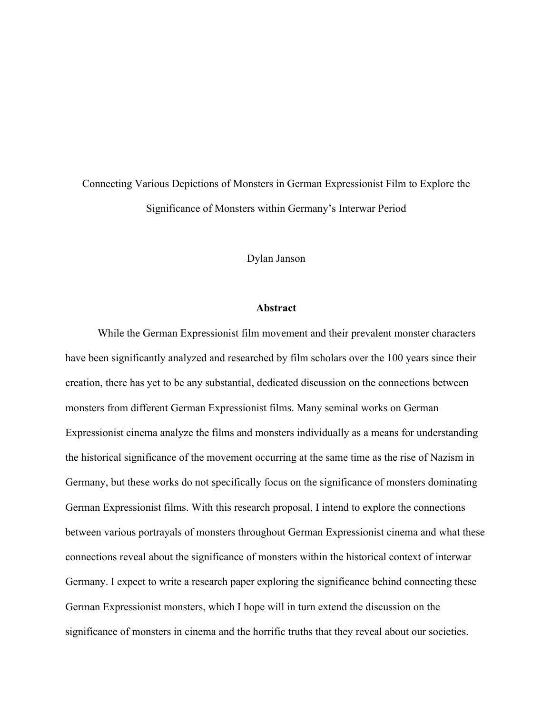# Connecting Various Depictions of Monsters in German Expressionist Film to Explore the Significance of Monsters within Germany's Interwar Period

Dylan Janson

## **Abstract**

While the German Expressionist film movement and their prevalent monster characters have been significantly analyzed and researched by film scholars over the 100 years since their creation, there has yet to be any substantial, dedicated discussion on the connections between monsters from different German Expressionist films. Many seminal works on German Expressionist cinema analyze the films and monsters individually as a means for understanding the historical significance of the movement occurring at the same time as the rise of Nazism in Germany, but these works do not specifically focus on the significance of monsters dominating German Expressionist films. With this research proposal, I intend to explore the connections between various portrayals of monsters throughout German Expressionist cinema and what these connections reveal about the significance of monsters within the historical context of interwar Germany. I expect to write a research paper exploring the significance behind connecting these German Expressionist monsters, which I hope will in turn extend the discussion on the significance of monsters in cinema and the horrific truths that they reveal about our societies.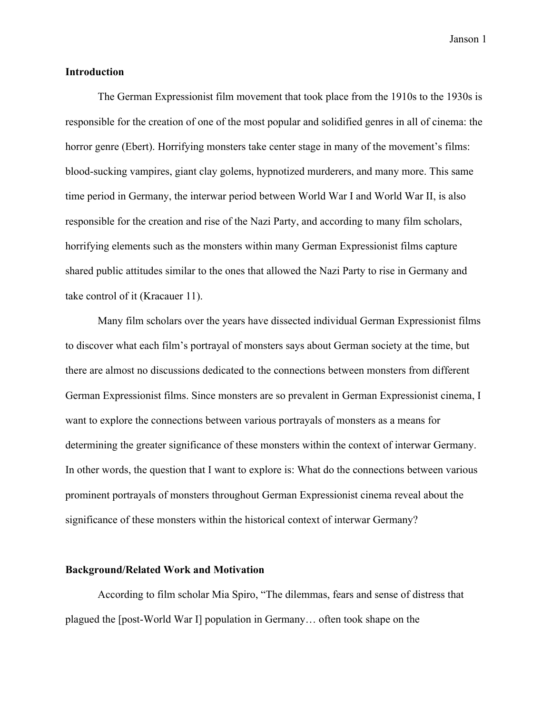## **Introduction**

The German Expressionist film movement that took place from the 1910s to the 1930s is responsible for the creation of one of the most popular and solidified genres in all of cinema: the horror genre (Ebert). Horrifying monsters take center stage in many of the movement's films: blood-sucking vampires, giant clay golems, hypnotized murderers, and many more. This same time period in Germany, the interwar period between World War I and World War II, is also responsible for the creation and rise of the Nazi Party, and according to many film scholars, horrifying elements such as the monsters within many German Expressionist films capture shared public attitudes similar to the ones that allowed the Nazi Party to rise in Germany and take control of it (Kracauer 11).

Many film scholars over the years have dissected individual German Expressionist films to discover what each film's portrayal of monsters says about German society at the time, but there are almost no discussions dedicated to the connections between monsters from different German Expressionist films. Since monsters are so prevalent in German Expressionist cinema, I want to explore the connections between various portrayals of monsters as a means for determining the greater significance of these monsters within the context of interwar Germany. In other words, the question that I want to explore is: What do the connections between various prominent portrayals of monsters throughout German Expressionist cinema reveal about the significance of these monsters within the historical context of interwar Germany?

#### **Background/Related Work and Motivation**

According to film scholar Mia Spiro, "The dilemmas, fears and sense of distress that plagued the [post-World War I] population in Germany… often took shape on the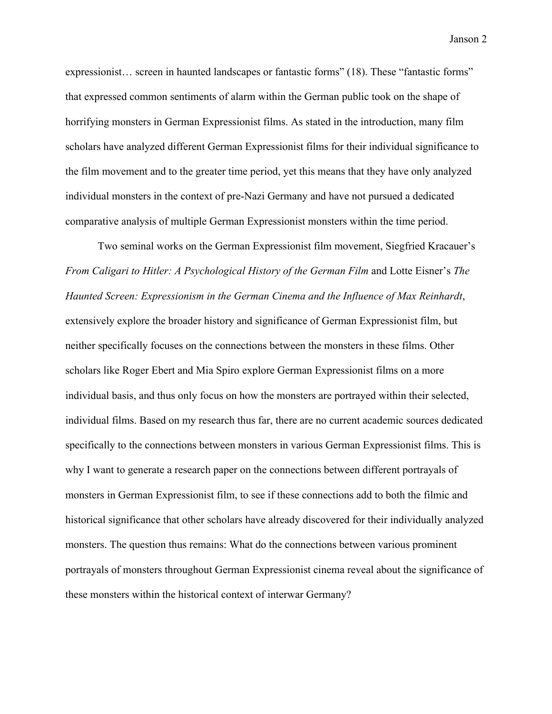expressionist… screen in haunted landscapes or fantastic forms" (18). These "fantastic forms" that expressed common sentiments of alarm within the German public took on the shape of horrifying monsters in German Expressionist films. As stated in the introduction, many film scholars have analyzed different German Expressionist films for their individual significance to the film movement and to the greater time period, yet this means that they have only analyzed individual monsters in the context of pre-Nazi Germany and have not pursued a dedicated comparative analysis of multiple German Expressionist monsters within the time period.

Two seminal works on the German Expressionist film movement, Siegfried Kracauer's *From Caligari to Hitler: A Psychological History of the German Film* and Lotte Eisner's *The Haunted Screen: Expressionism in the German Cinema and the Influence of Max Reinhardt*, extensively explore the broader history and significance of German Expressionist film, but neither specifically focuses on the connections between the monsters in these films. Other scholars like Roger Ebert and Mia Spiro explore German Expressionist films on a more individual basis, and thus only focus on how the monsters are portrayed within their selected, individual films. Based on my research thus far, there are no current academic sources dedicated specifically to the connections between monsters in various German Expressionist films. This is why I want to generate a research paper on the connections between different portrayals of monsters in German Expressionist film, to see if these connections add to both the filmic and historical significance that other scholars have already discovered for their individually analyzed monsters. The question thus remains: What do the connections between various prominent portrayals of monsters throughout German Expressionist cinema reveal about the significance of these monsters within the historical context of interwar Germany?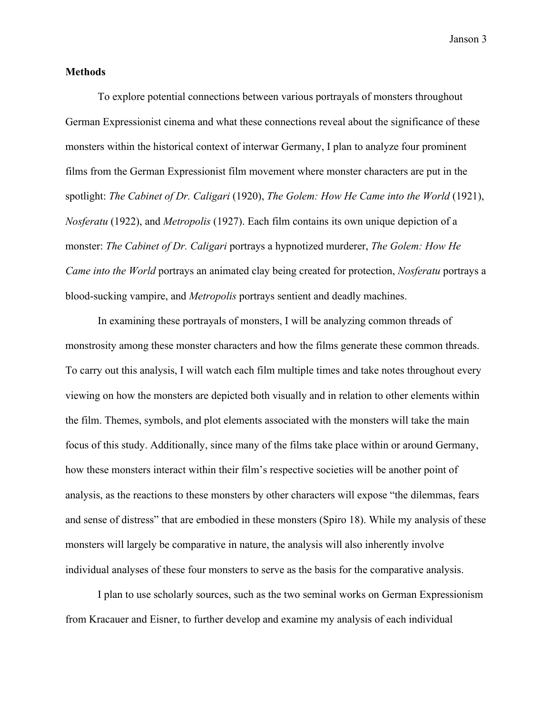#### **Methods**

To explore potential connections between various portrayals of monsters throughout German Expressionist cinema and what these connections reveal about the significance of these monsters within the historical context of interwar Germany, I plan to analyze four prominent films from the German Expressionist film movement where monster characters are put in the spotlight: *The Cabinet of Dr. Caligari* (1920), *The Golem: How He Came into the World* (1921), *Nosferatu* (1922), and *Metropolis* (1927). Each film contains its own unique depiction of a monster: *The Cabinet of Dr. Caligari* portrays a hypnotized murderer, *The Golem: How He Came into the World* portrays an animated clay being created for protection, *Nosferatu* portrays a blood-sucking vampire, and *Metropolis* portrays sentient and deadly machines.

In examining these portrayals of monsters, I will be analyzing common threads of monstrosity among these monster characters and how the films generate these common threads. To carry out this analysis, I will watch each film multiple times and take notes throughout every viewing on how the monsters are depicted both visually and in relation to other elements within the film. Themes, symbols, and plot elements associated with the monsters will take the main focus of this study. Additionally, since many of the films take place within or around Germany, how these monsters interact within their film's respective societies will be another point of analysis, as the reactions to these monsters by other characters will expose "the dilemmas, fears and sense of distress" that are embodied in these monsters (Spiro 18). While my analysis of these monsters will largely be comparative in nature, the analysis will also inherently involve individual analyses of these four monsters to serve as the basis for the comparative analysis.

I plan to use scholarly sources, such as the two seminal works on German Expressionism from Kracauer and Eisner, to further develop and examine my analysis of each individual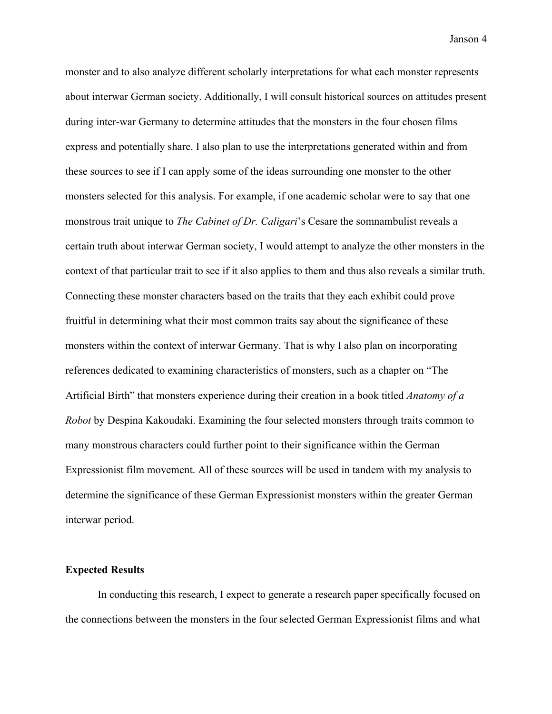monster and to also analyze different scholarly interpretations for what each monster represents about interwar German society. Additionally, I will consult historical sources on attitudes present during inter-war Germany to determine attitudes that the monsters in the four chosen films express and potentially share. I also plan to use the interpretations generated within and from these sources to see if I can apply some of the ideas surrounding one monster to the other monsters selected for this analysis. For example, if one academic scholar were to say that one monstrous trait unique to *The Cabinet of Dr. Caligari*'s Cesare the somnambulist reveals a certain truth about interwar German society, I would attempt to analyze the other monsters in the context of that particular trait to see if it also applies to them and thus also reveals a similar truth. Connecting these monster characters based on the traits that they each exhibit could prove fruitful in determining what their most common traits say about the significance of these monsters within the context of interwar Germany. That is why I also plan on incorporating references dedicated to examining characteristics of monsters, such as a chapter on "The Artificial Birth" that monsters experience during their creation in a book titled *Anatomy of a Robot* by Despina Kakoudaki. Examining the four selected monsters through traits common to many monstrous characters could further point to their significance within the German Expressionist film movement. All of these sources will be used in tandem with my analysis to determine the significance of these German Expressionist monsters within the greater German interwar period.

#### **Expected Results**

In conducting this research, I expect to generate a research paper specifically focused on the connections between the monsters in the four selected German Expressionist films and what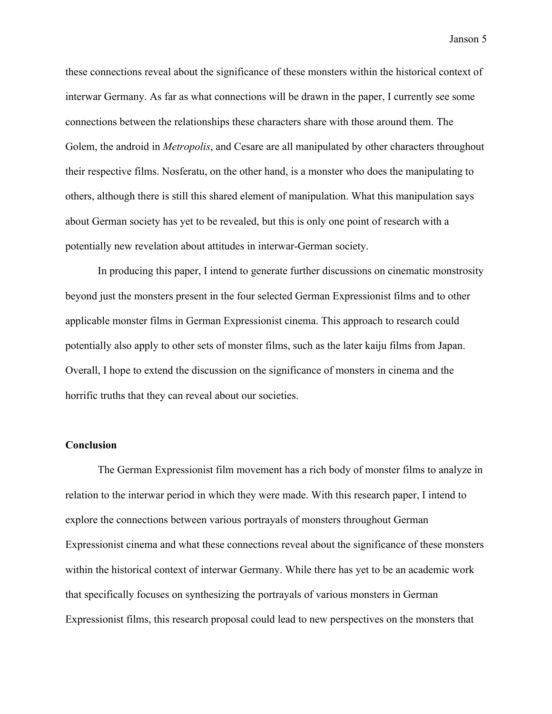these connections reveal about the significance of these monsters within the historical context of interwar Germany. As far as what connections will be drawn in the paper, I currently see some connections between the relationships these characters share with those around them. The Golem, the android in *Metropolis*, and Cesare are all manipulated by other characters throughout their respective films. Nosferatu, on the other hand, is a monster who does the manipulating to others, although there is still this shared element of manipulation. What this manipulation says about German society has yet to be revealed, but this is only one point of research with a potentially new revelation about attitudes in interwar-German society.

In producing this paper, I intend to generate further discussions on cinematic monstrosity beyond just the monsters present in the four selected German Expressionist films and to other applicable monster films in German Expressionist cinema. This approach to research could potentially also apply to other sets of monster films, such as the later kaiju films from Japan. Overall, I hope to extend the discussion on the significance of monsters in cinema and the horrific truths that they can reveal about our societies.

## **Conclusion**

The German Expressionist film movement has a rich body of monster films to analyze in relation to the interwar period in which they were made. With this research paper, I intend to explore the connections between various portrayals of monsters throughout German Expressionist cinema and what these connections reveal about the significance of these monsters within the historical context of interwar Germany. While there has yet to be an academic work that specifically focuses on synthesizing the portrayals of various monsters in German Expressionist films, this research proposal could lead to new perspectives on the monsters that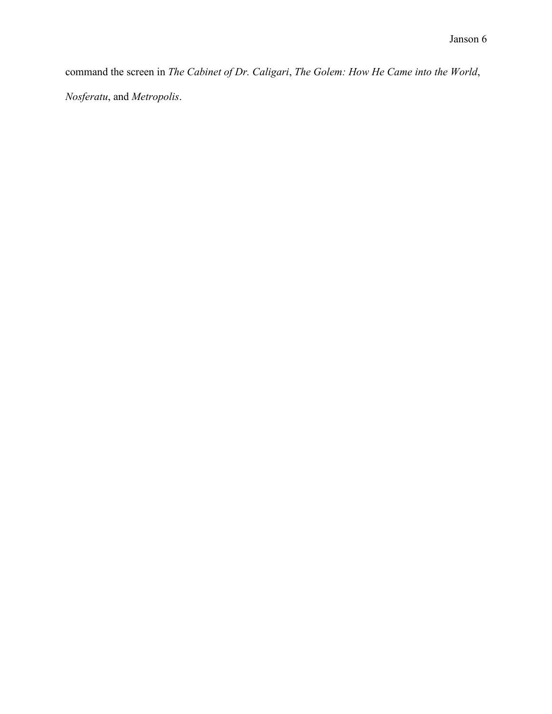command the screen in *The Cabinet of Dr. Caligari*, *The Golem: How He Came into the World*, *Nosferatu*, and *Metropolis*.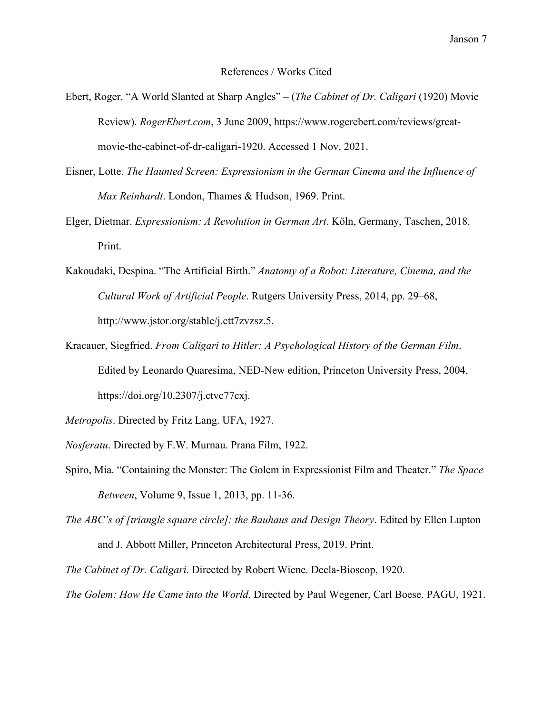#### References / Works Cited

- Ebert, Roger. "A World Slanted at Sharp Angles" (*The Cabinet of Dr. Caligari* (1920) Movie Review). *RogerEbert.com*, 3 June 2009, https://www.rogerebert.com/reviews/greatmovie-the-cabinet-of-dr-caligari-1920. Accessed 1 Nov. 2021.
- Eisner, Lotte. *The Haunted Screen: Expressionism in the German Cinema and the Influence of Max Reinhardt*. London, Thames & Hudson, 1969. Print.
- Elger, Dietmar. *Expressionism: A Revolution in German Art*. Köln, Germany, Taschen, 2018. Print.
- Kakoudaki, Despina. "The Artificial Birth." *Anatomy of a Robot: Literature, Cinema, and the Cultural Work of Artificial People*. Rutgers University Press, 2014, pp. 29–68, http://www.jstor.org/stable/j.ctt7zvzsz.5.
- Kracauer, Siegfried. *From Caligari to Hitler: A Psychological History of the German Film*. Edited by Leonardo Quaresima, NED-New edition, Princeton University Press, 2004, https://doi.org/10.2307/j.ctvc77cxj.

*Metropolis*. Directed by Fritz Lang. UFA, 1927.

*Nosferatu*. Directed by F.W. Murnau. Prana Film, 1922.

Spiro, Mia. "Containing the Monster: The Golem in Expressionist Film and Theater." *The Space Between*, Volume 9, Issue 1, 2013, pp. 11-36.

*The ABC's of [triangle square circle]: the Bauhaus and Design Theory*. Edited by Ellen Lupton and J. Abbott Miller, Princeton Architectural Press, 2019. Print.

*The Cabinet of Dr. Caligari*. Directed by Robert Wiene. Decla-Bioscop, 1920.

*The Golem: How He Came into the World*. Directed by Paul Wegener, Carl Boese. PAGU, 1921.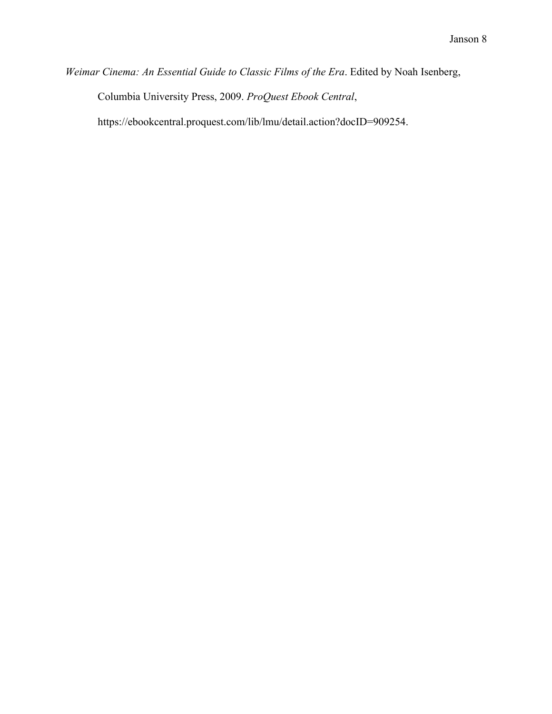*Weimar Cinema: An Essential Guide to Classic Films of the Era*. Edited by Noah Isenberg,

Columbia University Press, 2009. *ProQuest Ebook Central*,

https://ebookcentral.proquest.com/lib/lmu/detail.action?docID=909254.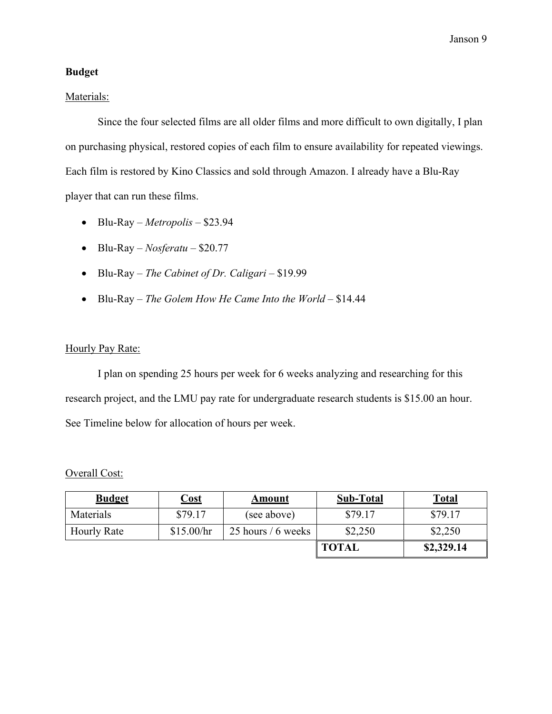## **Budget**

## Materials:

Since the four selected films are all older films and more difficult to own digitally, I plan on purchasing physical, restored copies of each film to ensure availability for repeated viewings. Each film is restored by Kino Classics and sold through Amazon. I already have a Blu-Ray player that can run these films.

- Blu-Ray *Metropolis*  \$23.94
- Blu-Ray *Nosferatu*  \$20.77
- Blu-Ray *The Cabinet of Dr. Caligari* \$19.99
- Blu-Ray *The Golem How He Came Into the World*  \$14.44

## Hourly Pay Rate:

I plan on spending 25 hours per week for 6 weeks analyzing and researching for this research project, and the LMU pay rate for undergraduate research students is \$15.00 an hour. See Timeline below for allocation of hours per week.

## Overall Cost:

| <b>Budget</b>      | <u>Cost</u> | Amount              | <b>Sub-Total</b> | <u>Total</u> |
|--------------------|-------------|---------------------|------------------|--------------|
| Materials          | \$79.17     | (see above)         | \$79.17          | \$79.17      |
| <b>Hourly Rate</b> | \$15.00/hr  | 25 hours $/6$ weeks | \$2,250          | \$2,250      |
|                    |             |                     | <b>TOTAL</b>     | \$2,329.14   |